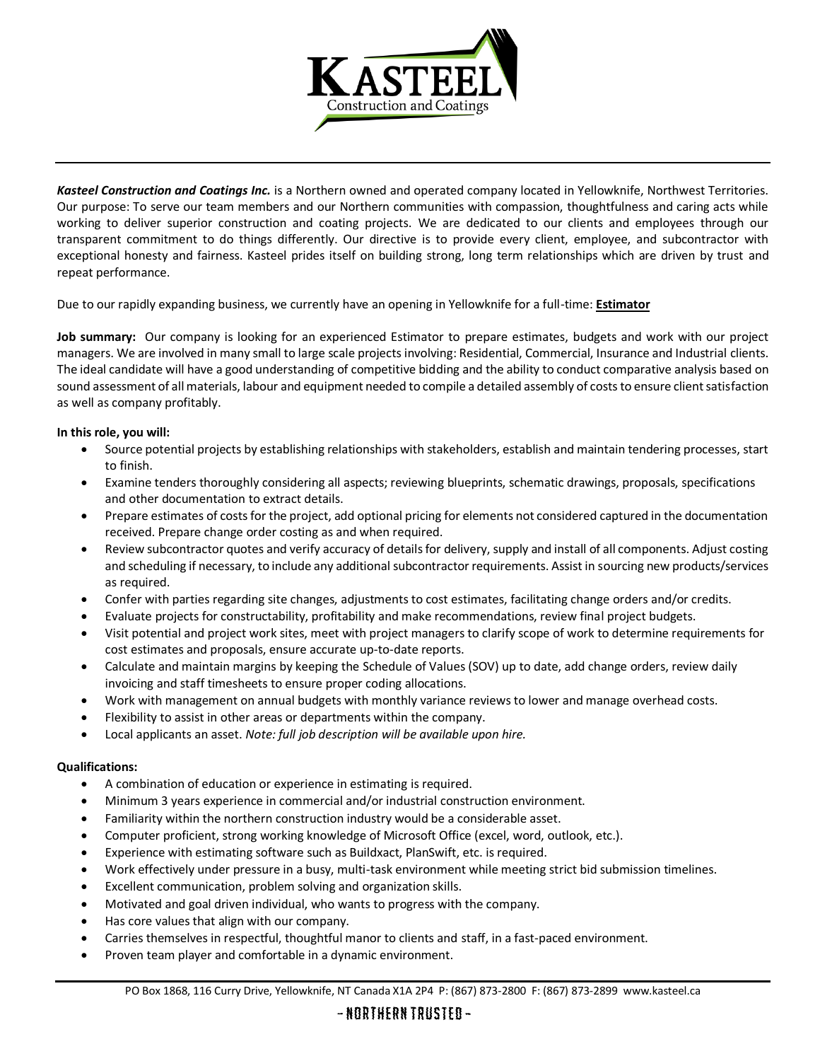

*Kasteel Construction and Coatings Inc.* is a Northern owned and operated company located in Yellowknife, Northwest Territories. Our purpose: To serve our team members and our Northern communities with compassion, thoughtfulness and caring acts while working to deliver superior construction and coating projects. We are dedicated to our clients and employees through our transparent commitment to do things differently. Our directive is to provide every client, employee, and subcontractor with exceptional honesty and fairness. Kasteel prides itself on building strong, long term relationships which are driven by trust and repeat performance.

Due to our rapidly expanding business, we currently have an opening in Yellowknife for a full-time: **Estimator**

**Job summary:** Our company is looking for an experienced Estimator to prepare estimates, budgets and work with our project managers. We are involved in many small to large scale projects involving: Residential, Commercial, Insurance and Industrial clients. The ideal candidate will have a good understanding of competitive bidding and the ability to conduct comparative analysis based on sound assessment of all materials, labour and equipment needed to compile a detailed assembly of costs to ensure client satisfaction as well as company profitably.

## **In this role, you will:**

- Source potential projects by establishing relationships with stakeholders, establish and maintain tendering processes, start to finish.
- Examine tenders thoroughly considering all aspects; reviewing blueprints, schematic drawings, proposals, specifications and other documentation to extract details.
- Prepare estimates of costs for the project, add optional pricing for elements not considered captured in the documentation received. Prepare change order costing as and when required.
- Review subcontractor quotes and verify accuracy of details for delivery, supply and install of all components. Adjust costing and scheduling if necessary, to include any additional subcontractor requirements. Assist in sourcing new products/services as required.
- Confer with parties regarding site changes, adjustments to cost estimates, facilitating change orders and/or credits.
- Evaluate projects for constructability, profitability and make recommendations, review final project budgets.
- Visit potential and project work sites, meet with project managers to clarify scope of work to determine requirements for cost estimates and proposals, ensure accurate up-to-date reports.
- Calculate and maintain margins by keeping the Schedule of Values (SOV) up to date, add change orders, review daily invoicing and staff timesheets to ensure proper coding allocations.
- Work with management on annual budgets with monthly variance reviews to lower and manage overhead costs.
- Flexibility to assist in other areas or departments within the company.
- Local applicants an asset. *Note: full job description will be available upon hire.*

## **Qualifications:**

- A combination of education or experience in estimating is required.
- Minimum 3 years experience in commercial and/or industrial construction environment.
- Familiarity within the northern construction industry would be a considerable asset.
- Computer proficient, strong working knowledge of Microsoft Office (excel, word, outlook, etc.).
- Experience with estimating software such as Buildxact, PlanSwift, etc. is required.
- Work effectively under pressure in a busy, multi-task environment while meeting strict bid submission timelines.
- Excellent communication, problem solving and organization skills.
- Motivated and goal driven individual, who wants to progress with the company.
- Has core values that align with our company.
- Carries themselves in respectful, thoughtful manor to clients and staff, in a fast-paced environment.
- Proven team player and comfortable in a dynamic environment.